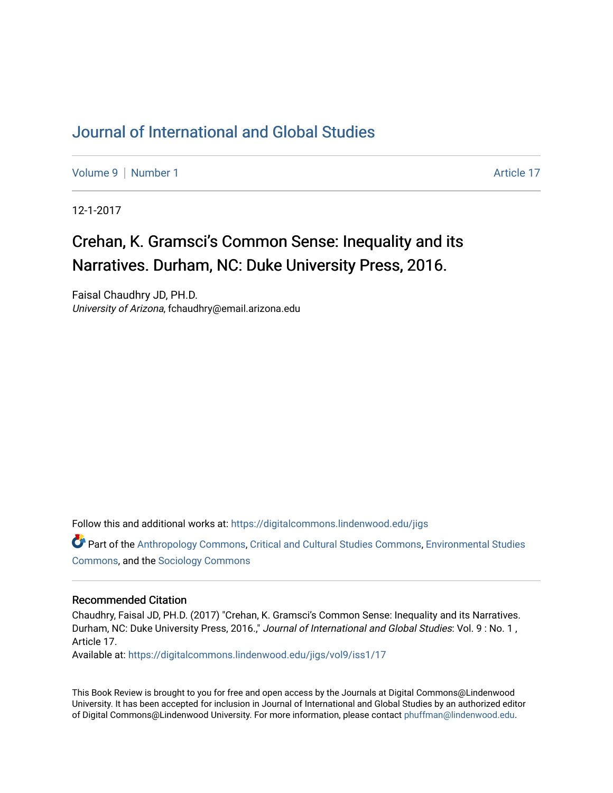## [Journal of International and Global Studies](https://digitalcommons.lindenwood.edu/jigs)

[Volume 9](https://digitalcommons.lindenwood.edu/jigs/vol9) | [Number 1](https://digitalcommons.lindenwood.edu/jigs/vol9/iss1) Article 17

12-1-2017

## Crehan, K. Gramsci's Common Sense: Inequality and its Narratives. Durham, NC: Duke University Press, 2016.

Faisal Chaudhry JD, PH.D. University of Arizona, fchaudhry@email.arizona.edu

Follow this and additional works at: [https://digitalcommons.lindenwood.edu/jigs](https://digitalcommons.lindenwood.edu/jigs?utm_source=digitalcommons.lindenwood.edu%2Fjigs%2Fvol9%2Fiss1%2F17&utm_medium=PDF&utm_campaign=PDFCoverPages) 

Part of the [Anthropology Commons](http://network.bepress.com/hgg/discipline/318?utm_source=digitalcommons.lindenwood.edu%2Fjigs%2Fvol9%2Fiss1%2F17&utm_medium=PDF&utm_campaign=PDFCoverPages), [Critical and Cultural Studies Commons](http://network.bepress.com/hgg/discipline/328?utm_source=digitalcommons.lindenwood.edu%2Fjigs%2Fvol9%2Fiss1%2F17&utm_medium=PDF&utm_campaign=PDFCoverPages), [Environmental Studies](http://network.bepress.com/hgg/discipline/1333?utm_source=digitalcommons.lindenwood.edu%2Fjigs%2Fvol9%2Fiss1%2F17&utm_medium=PDF&utm_campaign=PDFCoverPages)  [Commons](http://network.bepress.com/hgg/discipline/1333?utm_source=digitalcommons.lindenwood.edu%2Fjigs%2Fvol9%2Fiss1%2F17&utm_medium=PDF&utm_campaign=PDFCoverPages), and the [Sociology Commons](http://network.bepress.com/hgg/discipline/416?utm_source=digitalcommons.lindenwood.edu%2Fjigs%2Fvol9%2Fiss1%2F17&utm_medium=PDF&utm_campaign=PDFCoverPages)

## Recommended Citation

Chaudhry, Faisal JD, PH.D. (2017) "Crehan, K. Gramsci's Common Sense: Inequality and its Narratives. Durham, NC: Duke University Press, 2016.," Journal of International and Global Studies: Vol. 9 : No. 1 , Article 17.

Available at: [https://digitalcommons.lindenwood.edu/jigs/vol9/iss1/17](https://digitalcommons.lindenwood.edu/jigs/vol9/iss1/17?utm_source=digitalcommons.lindenwood.edu%2Fjigs%2Fvol9%2Fiss1%2F17&utm_medium=PDF&utm_campaign=PDFCoverPages) 

This Book Review is brought to you for free and open access by the Journals at Digital Commons@Lindenwood University. It has been accepted for inclusion in Journal of International and Global Studies by an authorized editor of Digital Commons@Lindenwood University. For more information, please contact [phuffman@lindenwood.edu](mailto:phuffman@lindenwood.edu).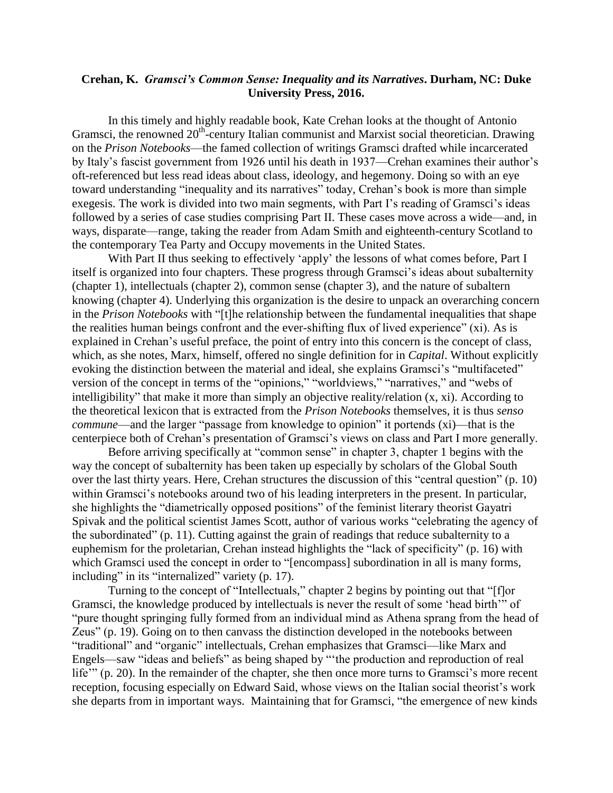## **Crehan, K.** *Gramsci's Common Sense: Inequality and its Narratives***. Durham, NC: Duke University Press, 2016.**

In this timely and highly readable book, Kate Crehan looks at the thought of Antonio Gramsci, the renowned 20<sup>th</sup>-century Italian communist and Marxist social theoretician. Drawing on the *Prison Notebooks*—the famed collection of writings Gramsci drafted while incarcerated by Italy's fascist government from 1926 until his death in 1937—Crehan examines their author's oft-referenced but less read ideas about class, ideology, and hegemony. Doing so with an eye toward understanding "inequality and its narratives" today, Crehan's book is more than simple exegesis. The work is divided into two main segments, with Part I's reading of Gramsci's ideas followed by a series of case studies comprising Part II. These cases move across a wide—and, in ways, disparate—range, taking the reader from Adam Smith and eighteenth-century Scotland to the contemporary Tea Party and Occupy movements in the United States.

With Part II thus seeking to effectively 'apply' the lessons of what comes before, Part I itself is organized into four chapters. These progress through Gramsci's ideas about subalternity (chapter 1), intellectuals (chapter 2), common sense (chapter 3), and the nature of subaltern knowing (chapter 4). Underlying this organization is the desire to unpack an overarching concern in the *Prison Notebooks* with "[t]he relationship between the fundamental inequalities that shape the realities human beings confront and the ever-shifting flux of lived experience" (xi). As is explained in Crehan's useful preface, the point of entry into this concern is the concept of class, which, as she notes, Marx, himself, offered no single definition for in *Capital*. Without explicitly evoking the distinction between the material and ideal, she explains Gramsci's "multifaceted" version of the concept in terms of the "opinions," "worldviews," "narratives," and "webs of intelligibility" that make it more than simply an objective reality/relation (x, xi). According to the theoretical lexicon that is extracted from the *Prison Notebooks* themselves, it is thus *senso commune*—and the larger "passage from knowledge to opinion" it portends (xi)—that is the centerpiece both of Crehan's presentation of Gramsci's views on class and Part I more generally.

Before arriving specifically at "common sense" in chapter 3, chapter 1 begins with the way the concept of subalternity has been taken up especially by scholars of the Global South over the last thirty years. Here, Crehan structures the discussion of this "central question" (p. 10) within Gramsci's notebooks around two of his leading interpreters in the present. In particular, she highlights the "diametrically opposed positions" of the feminist literary theorist Gayatri Spivak and the political scientist James Scott, author of various works "celebrating the agency of the subordinated" (p. 11). Cutting against the grain of readings that reduce subalternity to a euphemism for the proletarian, Crehan instead highlights the "lack of specificity" (p. 16) with which Gramsci used the concept in order to "[encompass] subordination in all is many forms, including" in its "internalized" variety (p. 17).

Turning to the concept of "Intellectuals," chapter 2 begins by pointing out that "[f]or Gramsci, the knowledge produced by intellectuals is never the result of some 'head birth'" of "pure thought springing fully formed from an individual mind as Athena sprang from the head of Zeus" (p. 19). Going on to then canvass the distinction developed in the notebooks between "traditional" and "organic" intellectuals, Crehan emphasizes that Gramsci—like Marx and Engels—saw "ideas and beliefs" as being shaped by "'the production and reproduction of real life'" (p. 20). In the remainder of the chapter, she then once more turns to Gramsci's more recent reception, focusing especially on Edward Said, whose views on the Italian social theorist's work she departs from in important ways. Maintaining that for Gramsci, "the emergence of new kinds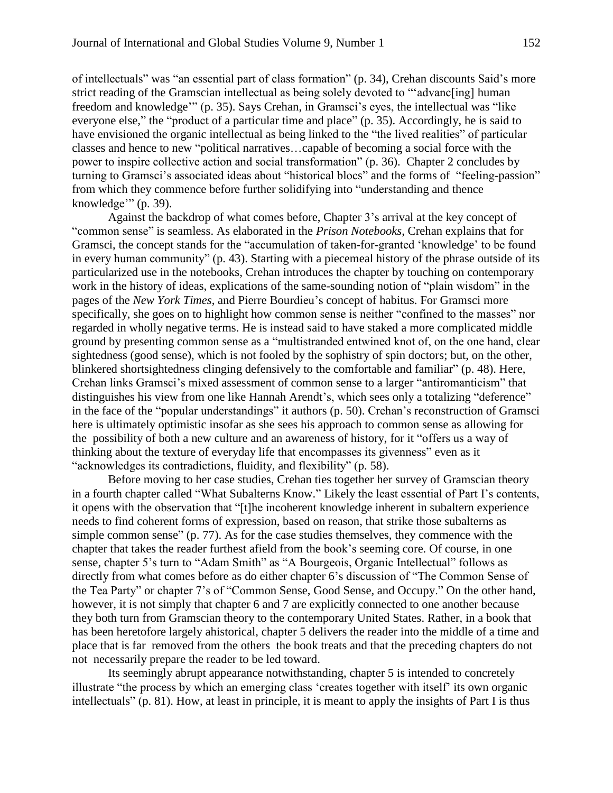of intellectuals" was "an essential part of class formation" (p. 34), Crehan discounts Said's more strict reading of the Gramscian intellectual as being solely devoted to "'advanc[ing] human freedom and knowledge'" (p. 35). Says Crehan, in Gramsci's eyes, the intellectual was "like everyone else," the "product of a particular time and place" (p. 35). Accordingly, he is said to have envisioned the organic intellectual as being linked to the "the lived realities" of particular classes and hence to new "political narratives…capable of becoming a social force with the power to inspire collective action and social transformation" (p. 36). Chapter 2 concludes by turning to Gramsci's associated ideas about "historical blocs" and the forms of "feeling-passion" from which they commence before further solidifying into "understanding and thence knowledge'" (p. 39).

Against the backdrop of what comes before, Chapter 3's arrival at the key concept of "common sense" is seamless. As elaborated in the *Prison Notebooks*, Crehan explains that for Gramsci, the concept stands for the "accumulation of taken-for-granted 'knowledge' to be found in every human community" (p. 43). Starting with a piecemeal history of the phrase outside of its particularized use in the notebooks, Crehan introduces the chapter by touching on contemporary work in the history of ideas, explications of the same-sounding notion of "plain wisdom" in the pages of the *New York Times*, and Pierre Bourdieu's concept of habitus. For Gramsci more specifically, she goes on to highlight how common sense is neither "confined to the masses" nor regarded in wholly negative terms. He is instead said to have staked a more complicated middle ground by presenting common sense as a "multistranded entwined knot of, on the one hand, clear sightedness (good sense), which is not fooled by the sophistry of spin doctors; but, on the other, blinkered shortsightedness clinging defensively to the comfortable and familiar" (p. 48). Here, Crehan links Gramsci's mixed assessment of common sense to a larger "antiromanticism" that distinguishes his view from one like Hannah Arendt's, which sees only a totalizing "deference" in the face of the "popular understandings" it authors (p. 50). Crehan's reconstruction of Gramsci here is ultimately optimistic insofar as she sees his approach to common sense as allowing for the possibility of both a new culture and an awareness of history, for it "offers us a way of thinking about the texture of everyday life that encompasses its givenness" even as it "acknowledges its contradictions, fluidity, and flexibility" (p. 58).

Before moving to her case studies, Crehan ties together her survey of Gramscian theory in a fourth chapter called "What Subalterns Know." Likely the least essential of Part I's contents, it opens with the observation that "[t]he incoherent knowledge inherent in subaltern experience needs to find coherent forms of expression, based on reason, that strike those subalterns as simple common sense" (p. 77). As for the case studies themselves, they commence with the chapter that takes the reader furthest afield from the book's seeming core. Of course, in one sense, chapter 5's turn to "Adam Smith" as "A Bourgeois, Organic Intellectual" follows as directly from what comes before as do either chapter 6's discussion of "The Common Sense of the Tea Party" or chapter 7's of "Common Sense, Good Sense, and Occupy." On the other hand, however, it is not simply that chapter 6 and 7 are explicitly connected to one another because they both turn from Gramscian theory to the contemporary United States. Rather, in a book that has been heretofore largely ahistorical, chapter 5 delivers the reader into the middle of a time and place that is far removed from the others the book treats and that the preceding chapters do not not necessarily prepare the reader to be led toward.

Its seemingly abrupt appearance notwithstanding, chapter 5 is intended to concretely illustrate "the process by which an emerging class 'creates together with itself' its own organic intellectuals" (p. 81). How, at least in principle, it is meant to apply the insights of Part I is thus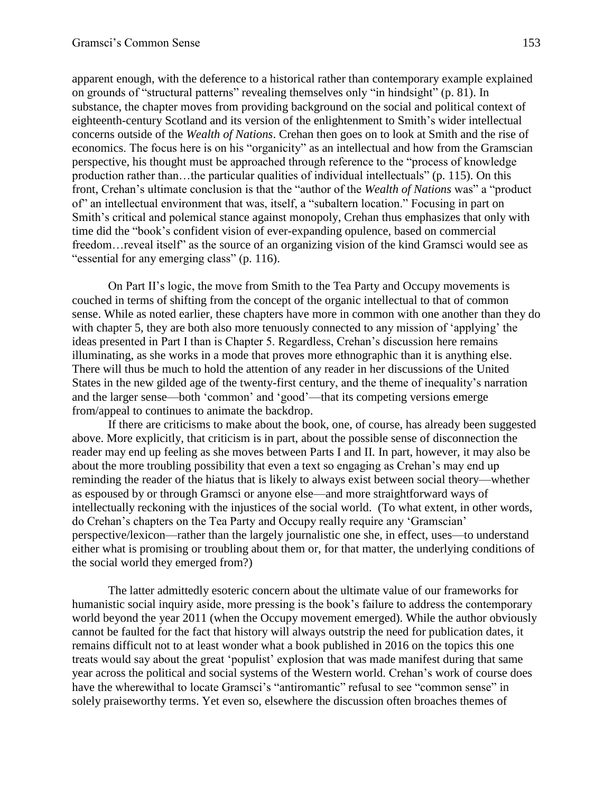apparent enough, with the deference to a historical rather than contemporary example explained on grounds of "structural patterns" revealing themselves only "in hindsight" (p. 81). In substance, the chapter moves from providing background on the social and political context of eighteenth-century Scotland and its version of the enlightenment to Smith's wider intellectual concerns outside of the *Wealth of Nations*. Crehan then goes on to look at Smith and the rise of economics. The focus here is on his "organicity" as an intellectual and how from the Gramscian perspective, his thought must be approached through reference to the "process of knowledge production rather than…the particular qualities of individual intellectuals" (p. 115). On this front, Crehan's ultimate conclusion is that the "author of the *Wealth of Nations* was" a "product of" an intellectual environment that was, itself, a "subaltern location." Focusing in part on Smith's critical and polemical stance against monopoly, Crehan thus emphasizes that only with time did the "book's confident vision of ever-expanding opulence, based on commercial freedom…reveal itself" as the source of an organizing vision of the kind Gramsci would see as "essential for any emerging class" (p. 116).

On Part II's logic, the move from Smith to the Tea Party and Occupy movements is couched in terms of shifting from the concept of the organic intellectual to that of common sense. While as noted earlier, these chapters have more in common with one another than they do with chapter 5, they are both also more tenuously connected to any mission of 'applying' the ideas presented in Part I than is Chapter 5. Regardless, Crehan's discussion here remains illuminating, as she works in a mode that proves more ethnographic than it is anything else. There will thus be much to hold the attention of any reader in her discussions of the United States in the new gilded age of the twenty-first century, and the theme of inequality's narration and the larger sense—both 'common' and 'good'—that its competing versions emerge from/appeal to continues to animate the backdrop.

If there are criticisms to make about the book, one, of course, has already been suggested above. More explicitly, that criticism is in part, about the possible sense of disconnection the reader may end up feeling as she moves between Parts I and II. In part, however, it may also be about the more troubling possibility that even a text so engaging as Crehan's may end up reminding the reader of the hiatus that is likely to always exist between social theory—whether as espoused by or through Gramsci or anyone else—and more straightforward ways of intellectually reckoning with the injustices of the social world. (To what extent, in other words, do Crehan's chapters on the Tea Party and Occupy really require any 'Gramscian' perspective/lexicon—rather than the largely journalistic one she, in effect, uses—to understand either what is promising or troubling about them or, for that matter, the underlying conditions of the social world they emerged from?)

The latter admittedly esoteric concern about the ultimate value of our frameworks for humanistic social inquiry aside, more pressing is the book's failure to address the contemporary world beyond the year 2011 (when the Occupy movement emerged). While the author obviously cannot be faulted for the fact that history will always outstrip the need for publication dates, it remains difficult not to at least wonder what a book published in 2016 on the topics this one treats would say about the great 'populist' explosion that was made manifest during that same year across the political and social systems of the Western world. Crehan's work of course does have the wherewithal to locate Gramsci's "antiromantic" refusal to see "common sense" in solely praiseworthy terms. Yet even so, elsewhere the discussion often broaches themes of